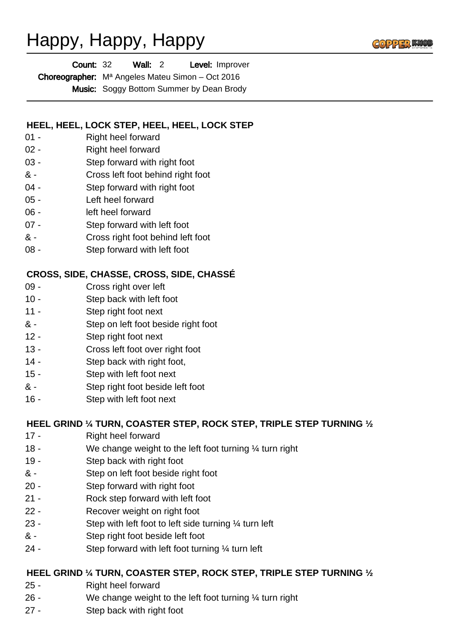# Happy, Happy, Happy

| <b>Count: 32</b> |                                                            | Wall: 2 |  | Level: Improver                                 |
|------------------|------------------------------------------------------------|---------|--|-------------------------------------------------|
|                  | <b>Choreographer:</b> $M^a$ Angeles Mateu Simon – Oct 2016 |         |  |                                                 |
|                  |                                                            |         |  | <b>Music:</b> Soggy Bottom Summer by Dean Brody |

### **HEEL, HEEL, LOCK STEP, HEEL, HEEL, LOCK STEP**

- 01 Right heel forward
- 02 Right heel forward
- 03 Step forward with right foot
- & Cross left foot behind right foot
- 04 Step forward with right foot
- 05 Left heel forward
- 06 left heel forward
- 07 Step forward with left foot
- & Cross right foot behind left foot
- 08 Step forward with left foot

### **CROSS, SIDE, CHASSE, CROSS, SIDE, CHASSÉ**

- 09 Cross right over left
- 10 Step back with left foot
- 11 Step right foot next
- & Step on left foot beside right foot
- 12 Step right foot next
- 13 Cross left foot over right foot
- 14 Step back with right foot,
- 15 Step with left foot next
- & Step right foot beside left foot
- 16 Step with left foot next

### **HEEL GRIND ¼ TURN, COASTER STEP, ROCK STEP, TRIPLE STEP TURNING ½**

- 17 Right heel forward
- 18 We change weight to the left foot turning ¼ turn right
- 19 Step back with right foot
- & Step on left foot beside right foot
- 20 Step forward with right foot
- 21 Rock step forward with left foot
- 22 Recover weight on right foot
- 23 Step with left foot to left side turning ¼ turn left
- & Step right foot beside left foot
- 24 Step forward with left foot turning ¼ turn left

### **HEEL GRIND ¼ TURN, COASTER STEP, ROCK STEP, TRIPLE STEP TURNING ½**

- 25 Right heel forward
- 26 We change weight to the left foot turning ¼ turn right
- 27 Step back with right foot